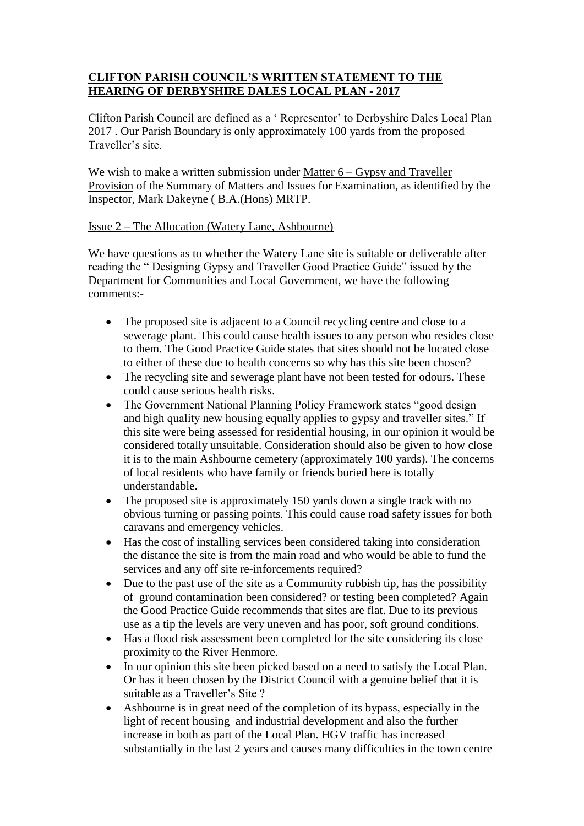## **CLIFTON PARISH COUNCIL'S WRITTEN STATEMENT TO THE HEARING OF DERBYSHIRE DALES LOCAL PLAN - 2017**

Clifton Parish Council are defined as a ' Representor' to Derbyshire Dales Local Plan 2017 . Our Parish Boundary is only approximately 100 yards from the proposed Traveller's site.

We wish to make a written submission under Matter  $6 - Gy$ psy and Traveller Provision of the Summary of Matters and Issues for Examination, as identified by the Inspector, Mark Dakeyne ( B.A.(Hons) MRTP.

## Issue 2 – The Allocation (Watery Lane, Ashbourne)

We have questions as to whether the Watery Lane site is suitable or deliverable after reading the " Designing Gypsy and Traveller Good Practice Guide" issued by the Department for Communities and Local Government, we have the following comments:-

- The proposed site is adjacent to a Council recycling centre and close to a sewerage plant. This could cause health issues to any person who resides close to them. The Good Practice Guide states that sites should not be located close to either of these due to health concerns so why has this site been chosen?
- The recycling site and sewerage plant have not been tested for odours. These could cause serious health risks.
- The Government National Planning Policy Framework states "good design and high quality new housing equally applies to gypsy and traveller sites." If this site were being assessed for residential housing, in our opinion it would be considered totally unsuitable. Consideration should also be given to how close it is to the main Ashbourne cemetery (approximately 100 yards). The concerns of local residents who have family or friends buried here is totally understandable.
- The proposed site is approximately 150 yards down a single track with no obvious turning or passing points. This could cause road safety issues for both caravans and emergency vehicles.
- Has the cost of installing services been considered taking into consideration the distance the site is from the main road and who would be able to fund the services and any off site re-inforcements required?
- Due to the past use of the site as a Community rubbish tip, has the possibility of ground contamination been considered? or testing been completed? Again the Good Practice Guide recommends that sites are flat. Due to its previous use as a tip the levels are very uneven and has poor, soft ground conditions.
- Has a flood risk assessment been completed for the site considering its close proximity to the River Henmore.
- In our opinion this site been picked based on a need to satisfy the Local Plan. Or has it been chosen by the District Council with a genuine belief that it is suitable as a Traveller's Site ?
- Ashbourne is in great need of the completion of its bypass, especially in the light of recent housing and industrial development and also the further increase in both as part of the Local Plan. HGV traffic has increased substantially in the last 2 years and causes many difficulties in the town centre